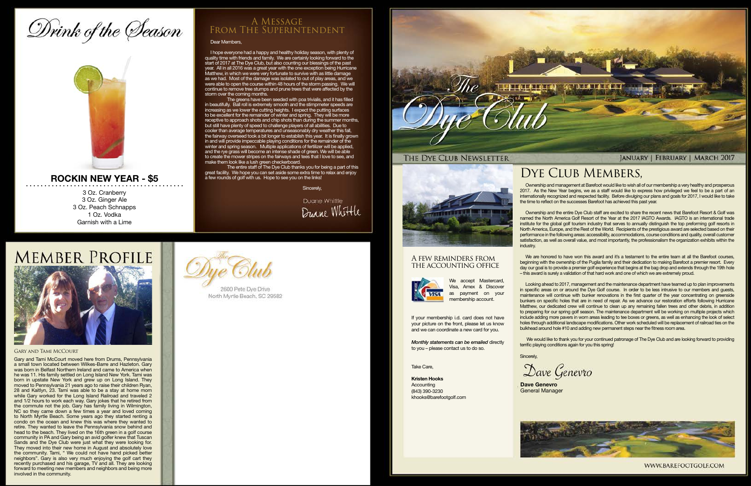## Drink of the Season



### **ROCKIN NEW YEAR - \$5**

3 Oz. Cranberry 3 Oz. Ginger Ale 3 Oz. Peach Schnapps 1 Oz. Vodka Garnish with a Lime

#### Dear Members,

I hope everyone had a happy and healthy holiday season, with plenty of quality time with friends and family. We are certainly looking forward to the start of 2017 at The Dye Club, but also counting our blessings of the past year. All in all 2016 was a great year with the one exception being Hurricane Matthew, in which we were very fortunate to survive with as little damage as we had. Most of the damage was isolated to out of play areas, and we were able to open the course within 48 hours of the storm passing. We will continue to remove tree stumps and prune trees that were affected by the storm over the coming months.

The greens have been seeded with poa trivialis, and it has filled in beautifully. Ball roll is extremely smooth and the stimpmeter speeds are increasing as we lower the cutting heights. I expect the putting surfaces to be excellent for the remainder of winter and spring. They will be more receptive to approach shots and chip shots than during the summer months, but still have plenty of speed to challenge players of all abilities. Due to cooler than average temperatures and unseasonably dry weather this fall, the fairway overseed took a bit longer to establish this year. It is finally grown in and will provide impeccable playing conditions for the remainder of the winter and spring season. Multiple applications of fertilizer will be applied, and the rye grass will become an intense shade of green. We will be able to create the mower stripes on the fairways and tees that I love to see, and make them look like a lush green checkerboard.

The entire staff of The Dye Club thanks you for being a part of this great facility. We hope you can set aside some extra time to relax and enjoy a few rounds of golf with us. Hope to see you on the links!

Sincerely,

Duane Whittle Duane Whittle





### A Message From The Superintendent

Ownership and management at Barefoot would like to wish all of our membership a very healthy and prosperous 2017. As the New Year begins, we as a staff would like to express how privileged we feel to be a part of an internationally recognized and respected facility. Before divulging our plans and goals for 2017, I would like to take the time to reflect on the successes Barefoot has achieved this past year.

We would like to thank you for your continued patronage of The Dye Club and are looking forward to providing terrific playing conditions again for you this spring!

Dave Genevro



WWW.BAREFOOTGOLF.COM

If your membership i.d. card does not have your picture on the front, please let us know and we can coordinate a new card for you.

Ownership and the entire Dye Club staff are excited to share the recent news that Barefoot Resort & Golf was named the North America Golf Resort of the Year at the 2017 IAGTO Awards. IAGTO is an international trade institute for the global golf tourism industry that serves to annually distinguish the top preforming golf resorts in North America, Europe, and the Rest of the World. Recipients of the prestigious award are selected based on their performance in the following areas: accessibility, accommodations, course conditions and quality, overall customer satisfaction, as well as overall value, and most importantly, the professionalism the organization exhibits within the



We are honored to have won this award and it's a testament to the entire team at all the Barefoot courses, beginning with the ownership of the Puglia family and their dedication to making Barefoot a premier resort. Every day our goal is to provide a premier golf experience that begins at the bag drop and extends through the 19th hole – this award is surely a validation of that hard work and one of which we are extremely proud.

Looking ahead to 2017, management and the maintenance department have teamed up to plan improvements in specific areas on or around the Dye Golf course. In order to be less intrusive to our members and guests, maintenance will continue with bunker renovations in the first quarter of the year concentrating on greenside bunkers on specific holes that are in need of repair. As we advance our restoration efforts following Hurricane Matthew, our dedicated crew will continue to clean up any remaining fallen trees and other debris, in addition to preparing for our spring golf season. The maintenance department will be working on multiple projects which include adding more pavers in worn areas leading to tee boxes or greens, as well as enhancing the look of select holes through additional landscape modifications. Other work scheduled will be replacement of railroad ties on the bulkhead around hole #10 and adding new permanent steps near the fitness room area.

**Dave Genevro** General Manager



2600 Pete Dye Drive North Myrtle Beach, SC 29582



## DYE CLUB MEMBERS,

#### A few reminders from the accounting office



We accept Mastercard, Amex & Discover as payment on your membership account.

*Monthly statements can be emailed* directly to you – please contact us to do so.

Take Care,

**Kristen Hooks** Accounting (843) 390-3230 khooks@barefootgolf.com

**Sincerely** 

Gary and Tami McCourt

Gary and Tami McCourt moved here from Drums, Pennsylvania a small town located between Wilkes-Barre and Hazleton. Gary was born in Belfast Northern Ireland and came to America when he was 11. His family settled on Long Island New York. Tami was born in upstate New York and grew up on Long Island. They moved to Pennsylvania 21 years ago to raise their children Ryan, 28 and Kaitlyn, 23. Tami was able to be a stay at home mom while Gary worked for the Long Island Railroad and traveled 2 and 1/2 hours to work each way. Gary jokes that he retired from the commute not the job. Gary has family living in Wilmington, NC so they came down a few times a year and loved coming to North Myrtle Beach. Some years ago they started renting a condo on the ocean and knew this was where they wanted to retire. They wanted to leave the Pennsylvania snow behind and head to the beach. They lived on the 16th green in a golf course community in PA and Gary being an avid golfer knew that Tuscan Sands and the Dye Club were just what they were looking for. They moved into their new home in August and absolutely love the community. Tami, " We could not have hand picked better neighbors". Gary is also very much enjoying the golf cart they recently purchased and his garage, TV and all. They are looking forward to meeting new members and neighbors and being more involved in the community.



#### THE DYE CLUB NEWSLETTER